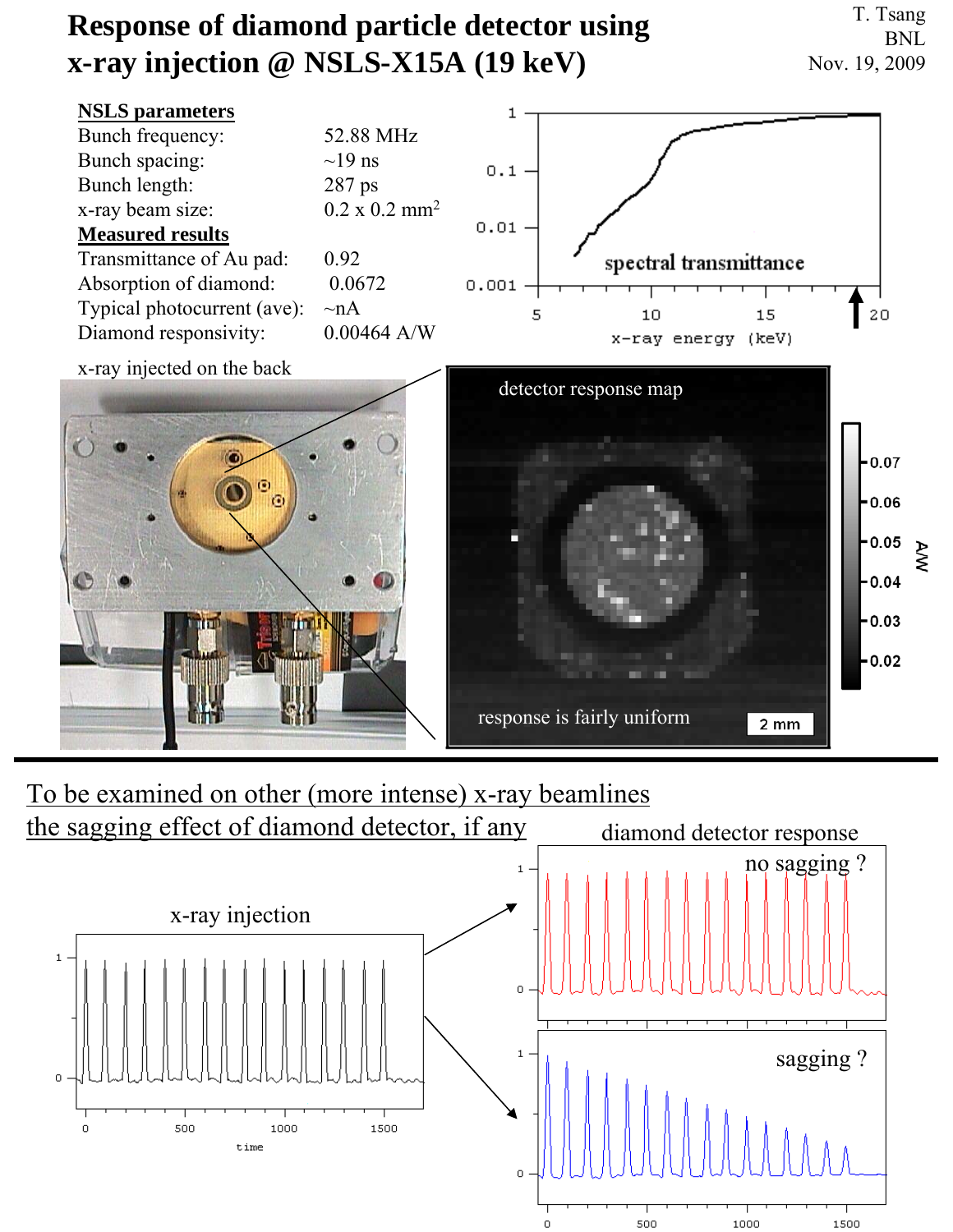## **Response of diamond particle detector using x-ray injection @ NSLS-X15A (19 keV)**

T. Tsang BNL Nov. 19, 2009



## To be examined on other (more intense) x-ray beamlines